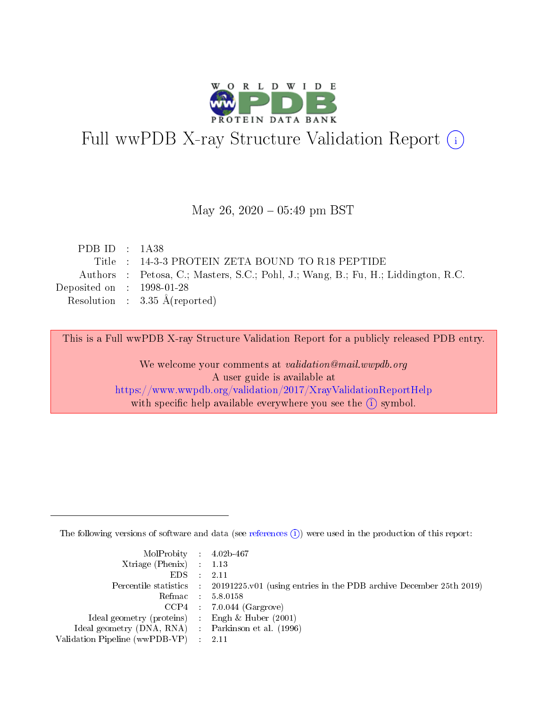

# Full wwPDB X-ray Structure Validation Report (i)

#### May 26,  $2020 - 05:49$  pm BST

| PDB ID : $1A38$             |                                                                                   |
|-----------------------------|-----------------------------------------------------------------------------------|
|                             | Title : 14-3-3 PROTEIN ZETA BOUND TO R18 PEPTIDE                                  |
|                             | Authors : Petosa, C.; Masters, S.C.; Pohl, J.; Wang, B.; Fu, H.; Liddington, R.C. |
| Deposited on : $1998-01-28$ |                                                                                   |
|                             | Resolution : $3.35 \text{ Å}$ (reported)                                          |

This is a Full wwPDB X-ray Structure Validation Report for a publicly released PDB entry.

We welcome your comments at validation@mail.wwpdb.org A user guide is available at <https://www.wwpdb.org/validation/2017/XrayValidationReportHelp> with specific help available everywhere you see the  $(i)$  symbol.

The following versions of software and data (see [references](https://www.wwpdb.org/validation/2017/XrayValidationReportHelp#references)  $(i)$ ) were used in the production of this report:

| MolProbity : 4.02b-467                              |                                                                                            |
|-----------------------------------------------------|--------------------------------------------------------------------------------------------|
| Xtriage (Phenix) $: 1.13$                           |                                                                                            |
| $EDS = 2.11$                                        |                                                                                            |
|                                                     | Percentile statistics : 20191225.v01 (using entries in the PDB archive December 25th 2019) |
|                                                     | Refmac : 5.8.0158                                                                          |
|                                                     | $CCP4$ : 7.0.044 (Gargrove)                                                                |
| Ideal geometry (proteins) : Engh $\&$ Huber (2001)  |                                                                                            |
| Ideal geometry (DNA, RNA) : Parkinson et al. (1996) |                                                                                            |
| Validation Pipeline (wwPDB-VP) : 2.11               |                                                                                            |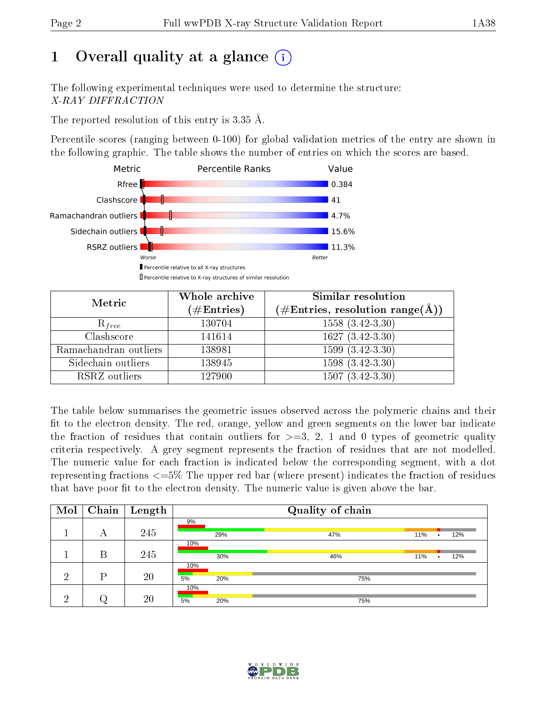# 1 [O](https://www.wwpdb.org/validation/2017/XrayValidationReportHelp#overall_quality)verall quality at a glance  $(i)$

The following experimental techniques were used to determine the structure: X-RAY DIFFRACTION

The reported resolution of this entry is 3.35 Å.

Percentile scores (ranging between 0-100) for global validation metrics of the entry are shown in the following graphic. The table shows the number of entries on which the scores are based.



| Metric                | Whole archive<br>$(\#\text{Entries})$ | Similar resolution<br>$(\#\text{Entries}, \text{resolution range}(\text{\AA}))$ |  |  |
|-----------------------|---------------------------------------|---------------------------------------------------------------------------------|--|--|
| $R_{free}$            | 130704                                | $1558(3.42-3.30)$                                                               |  |  |
| Clashscore            | 141614                                | $1627 (3.42 - 3.30)$                                                            |  |  |
| Ramachandran outliers | 138981                                | $\overline{1599}$ $(3.42-3.30)$                                                 |  |  |
| Sidechain outliers    | 138945                                | $\overline{1598}$ $\overline{(3.42-3.30)}$                                      |  |  |
| RSRZ outliers         | 127900                                | $1507(3.42-3.30)$                                                               |  |  |

The table below summarises the geometric issues observed across the polymeric chains and their fit to the electron density. The red, orange, yellow and green segments on the lower bar indicate the fraction of residues that contain outliers for  $>=3, 2, 1$  and 0 types of geometric quality criteria respectively. A grey segment represents the fraction of residues that are not modelled. The numeric value for each fraction is indicated below the corresponding segment, with a dot representing fractions  $\epsilon=5\%$  The upper red bar (where present) indicates the fraction of residues that have poor fit to the electron density. The numeric value is given above the bar.

| Mol | Chain | Length | Quality of chain |     |     |           |     |
|-----|-------|--------|------------------|-----|-----|-----------|-----|
|     | А     | 245    | 9%<br>29%        | 47% | 11% | $\bullet$ | 12% |
|     | В     | 245    | 10%<br>30%       | 46% | 11% | $\bullet$ | 12% |
| ച   | D     | 20     | 10%<br>5%<br>20% | 75% |     |           |     |
| ച   |       | 20     | 10%<br>5%<br>20% | 75% |     |           |     |

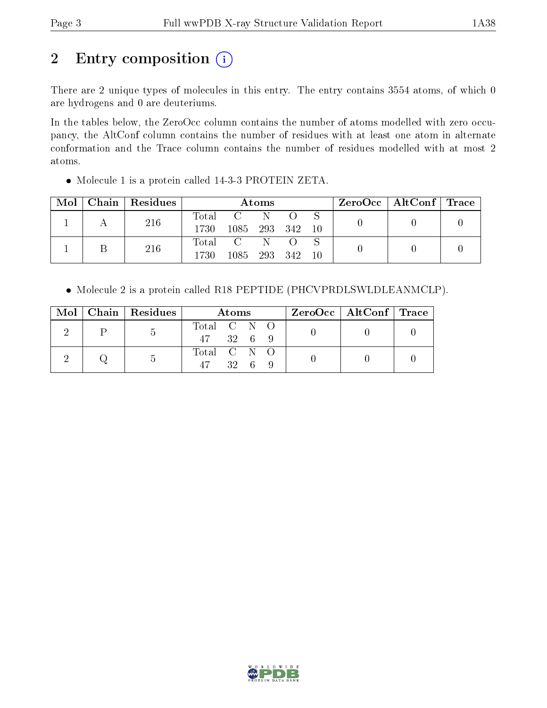# 2 Entry composition (i)

There are 2 unique types of molecules in this entry. The entry contains 3554 atoms, of which 0 are hydrogens and 0 are deuteriums.

In the tables below, the ZeroOcc column contains the number of atoms modelled with zero occupancy, the AltConf column contains the number of residues with at least one atom in alternate conformation and the Trace column contains the number of residues modelled with at most 2 atoms.

Molecule 1 is a protein called 14-3-3 PROTEIN ZETA.

| Mol | $Chain   Residues$ | Atoms                    |                        |     |       |     | $\rm ZeroOcc \mid AltConf \mid Trace$ |  |
|-----|--------------------|--------------------------|------------------------|-----|-------|-----|---------------------------------------|--|
|     | 216                | Total<br>1730            | 1085 293 342           | -N  |       | -10 |                                       |  |
|     | 216                | $\mathrm{Total}$<br>1730 | $\overline{C}$<br>1085 | 293 | - 342 | 10  |                                       |  |

Molecule 2 is a protein called R18 PEPTIDE (PHCVPRDLSWLDLEANMCLP).

| Mol | Chain   Residues | Atoms                               | $ZeroOcc \mid AltConf \mid Trace$ |  |
|-----|------------------|-------------------------------------|-----------------------------------|--|
|     | $\mathfrak{D}$   | Total C N O<br>47 32 6 9            |                                   |  |
|     |                  | Total C N O<br>$32 \quad 6 \quad 9$ |                                   |  |

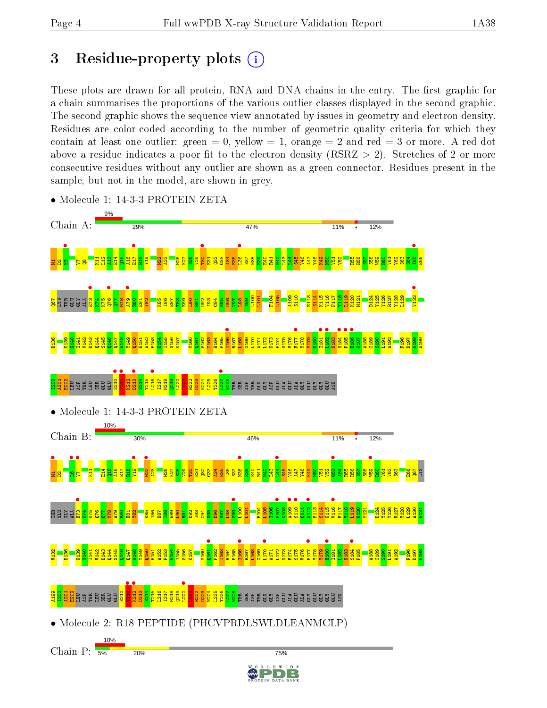# 3 Residue-property plots  $(i)$

These plots are drawn for all protein, RNA and DNA chains in the entry. The first graphic for a chain summarises the proportions of the various outlier classes displayed in the second graphic. The second graphic shows the sequence view annotated by issues in geometry and electron density. Residues are color-coded according to the number of geometric quality criteria for which they contain at least one outlier: green  $= 0$ , yellow  $= 1$ , orange  $= 2$  and red  $= 3$  or more. A red dot above a residue indicates a poor fit to the electron density (RSRZ  $> 2$ ). Stretches of 2 or more consecutive residues without any outlier are shown as a green connector. Residues present in the sample, but not in the model, are shown in grey.



• Molecule 1: 14-3-3 PROTEIN ZETA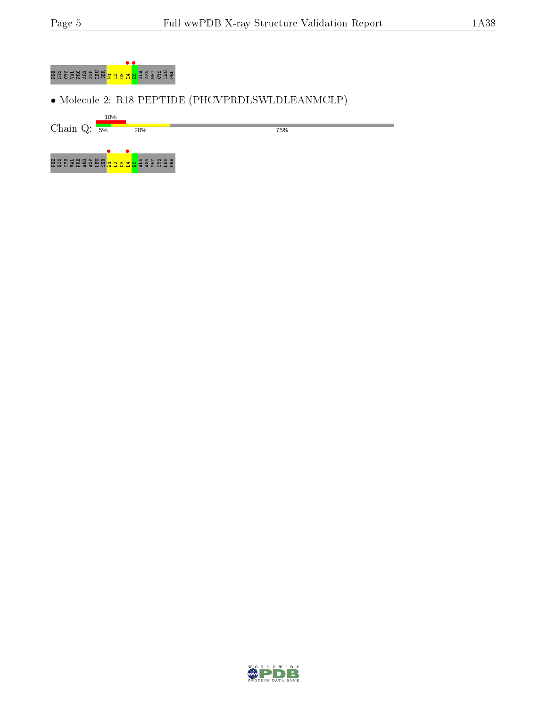

• Molecule 2: R18 PEPTIDE (PHCVPRDLSWLDLEANMCLP)

10% Chain Q:  $\overline{\mathsf{s}\mathsf{m}}$ 20%

75%



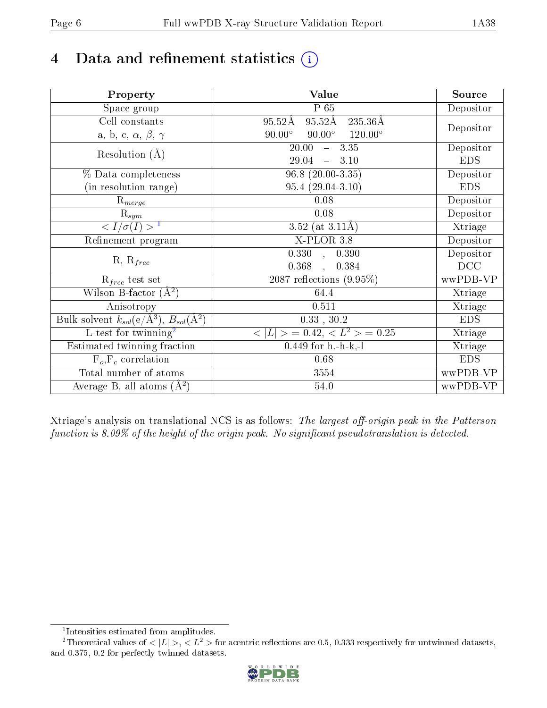# 4 Data and refinement statistics  $(i)$

| Property                                                             | <b>Value</b>                                      | Source     |
|----------------------------------------------------------------------|---------------------------------------------------|------------|
| Space group                                                          | $P_65$                                            | Depositor  |
| Cell constants                                                       | $95.52\text{\AA}$<br>$95.52\text{\AA}$<br>235.36Å |            |
| a, b, c, $\alpha$ , $\beta$ , $\gamma$                               | $90.00^\circ$<br>$120.00^\circ$<br>$90.00^\circ$  | Depositor  |
| Resolution $(A)$                                                     | 20.00<br>$-3.35$                                  | Depositor  |
|                                                                      | 29.04<br>3.10<br>$\equiv$                         | <b>EDS</b> |
| % Data completeness                                                  | $96.8(20.00-3.35)$                                | Depositor  |
| (in resolution range)                                                | $95.4(29.04-3.10)$                                | <b>EDS</b> |
| $\mathrm{R}_{merge}$                                                 | 0.08                                              | Depositor  |
| $\mathrm{R}_{sym}$                                                   | 0.08                                              | Depositor  |
| $\sqrt{I/\sigma}(I) > 1$                                             | 3.52 (at $3.11\text{\AA}$ )                       | Xtriage    |
| Refinement program                                                   | $X-PLOR$ 3.8                                      | Depositor  |
|                                                                      | $\overline{0.330}$ ,<br>0.390                     | Depositor  |
| $R, R_{free}$                                                        | 0.368<br>0.384<br>$\ddot{\phantom{a}}$            | DCC        |
| $R_{free}$ test set                                                  | 2087 reflections $(9.95\%)$                       | wwPDB-VP   |
| Wilson B-factor $(A^2)$                                              | 64.4                                              | Xtriage    |
| Anisotropy                                                           | 0.511                                             | Xtriage    |
| Bulk solvent $k_{sol}(e/\mathring{A}^3)$ , $B_{sol}(\mathring{A}^2)$ | $0.33\,$ , $30.2\,$                               | <b>EDS</b> |
| L-test for twinning <sup>2</sup>                                     | $< L >$ = 0.42, $< L^2 >$ = 0.25                  | Xtriage    |
| Estimated twinning fraction                                          | $0.449$ for h,-h-k,-l                             | Xtriage    |
| $F_o, F_c$ correlation                                               | 0.68                                              | <b>EDS</b> |
| Total number of atoms                                                | 3554                                              | wwPDB-VP   |
| Average B, all atoms $(A^2)$                                         | 54.0                                              | wwPDB-VP   |

Xtriage's analysis on translational NCS is as follows: The largest off-origin peak in the Patterson function is  $8.09\%$  of the height of the origin peak. No significant pseudotranslation is detected.

<sup>&</sup>lt;sup>2</sup>Theoretical values of  $\langle |L| \rangle$ ,  $\langle L^2 \rangle$  for acentric reflections are 0.5, 0.333 respectively for untwinned datasets, and 0.375, 0.2 for perfectly twinned datasets.



<span id="page-5-1"></span><span id="page-5-0"></span><sup>1</sup> Intensities estimated from amplitudes.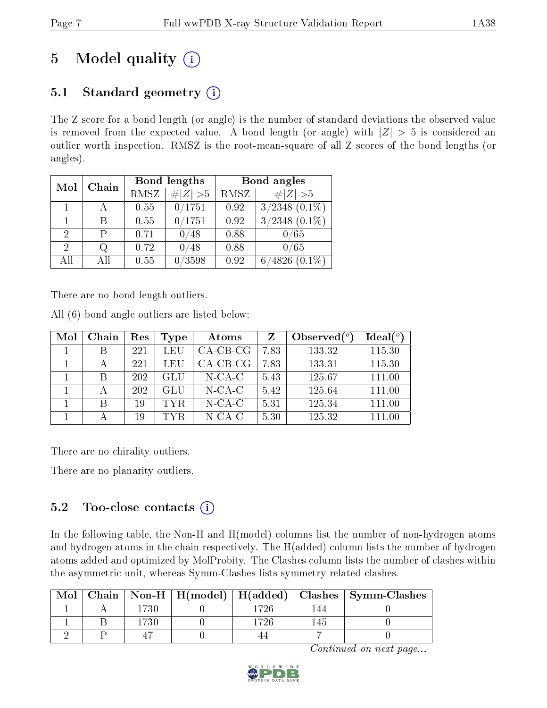# 5 Model quality  $(i)$

## 5.1 Standard geometry  $(i)$

The Z score for a bond length (or angle) is the number of standard deviations the observed value is removed from the expected value. A bond length (or angle) with  $|Z| > 5$  is considered an outlier worth inspection. RMSZ is the root-mean-square of all Z scores of the bond lengths (or angles).

| Mol | Chain |      | Bond lengths | Bond angles |                     |  |
|-----|-------|------|--------------|-------------|---------------------|--|
|     |       | RMSZ | $\# Z  > 5$  | RMSZ        | $\# Z  > 5$         |  |
|     |       | 0.55 | 0/1751       | 0.92        | $3/2348$ $(0.1\%)$  |  |
|     |       | 0.55 | 0/1751       | 0.92        | 3/2348<br>$(0.1\%)$ |  |
| 2   | Р     | 0.71 | ′48<br>07    | 0.88        | 0/65                |  |
| 2   | Q     | 0.72 | 48           | 0.88        | 0/65                |  |
| AII | ΑH    | 0.55 | /3598        | 0.92        | 4826<br>$(0.1\%)$   |  |

There are no bond length outliers.

All (6) bond angle outliers are listed below:

| Mol | Chain | Res | Type | Atoms      | Z    | Observed $(°)$ | Ideal(°) |
|-----|-------|-----|------|------------|------|----------------|----------|
|     |       | 221 | LEU  | $CA-CB-CG$ | 7.83 | 133.32         | 115.30   |
|     |       | 221 | LEU  | $CA-CB-CG$ | 7.83 | 133.31         | 115.30   |
|     |       | 202 | GLU  | $N$ -CA-C  | 5.43 | 125.67         | 111.00   |
|     |       | 202 | GLU  | $N$ -CA-C  | 5.42 | 125.64         | 111.00   |
|     | R     | 19  | TYR. | $N-CA-C$   | 5.31 | 125.34         | 111.00   |
|     |       | 19  | TYR. | $N$ -CA-C  | 5.30 | 125.32         | 111.00   |

There are no chirality outliers.

There are no planarity outliers.

## 5.2 Too-close contacts  $\overline{()}$

In the following table, the Non-H and H(model) columns list the number of non-hydrogen atoms and hydrogen atoms in the chain respectively. The H(added) column lists the number of hydrogen atoms added and optimized by MolProbity. The Clashes column lists the number of clashes within the asymmetric unit, whereas Symm-Clashes lists symmetry related clashes.

| Mol |      |      | Chain   Non-H   H(model)   H(added)   Clashes   Symm-Clashes |
|-----|------|------|--------------------------------------------------------------|
|     | 1730 | 726  |                                                              |
|     | 1730 | -726 |                                                              |
|     |      |      |                                                              |

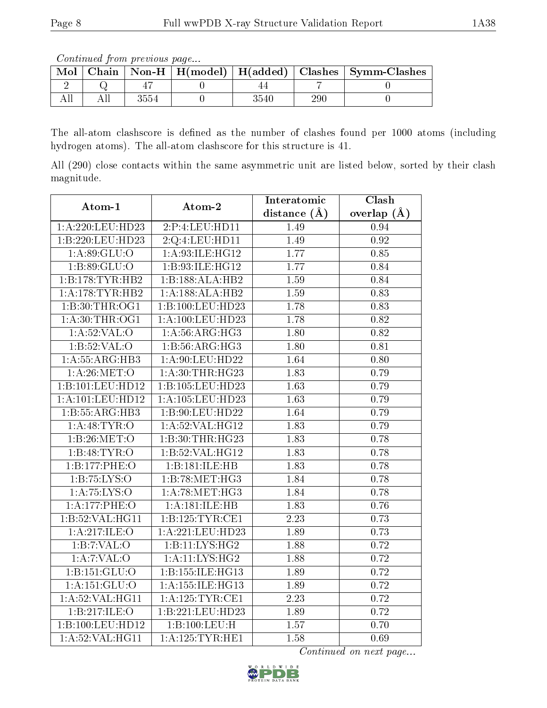Continued from previous page...

| Mol |      |          |     | Chain   Non-H   H(model)   H(added)   Clashes   Symm-Clashes |
|-----|------|----------|-----|--------------------------------------------------------------|
|     |      |          |     |                                                              |
|     | 3554 | $3540\,$ | 290 |                                                              |

The all-atom clashscore is defined as the number of clashes found per 1000 atoms (including hydrogen atoms). The all-atom clashscore for this structure is 41.

All (290) close contacts within the same asymmetric unit are listed below, sorted by their clash magnitude.

| Atom-1                      | Atom-2               | Interatomic       | Clash             |
|-----------------------------|----------------------|-------------------|-------------------|
|                             |                      | distance $(A)$    | overlap $(\AA)$   |
| 1:A:220:LEU:HD23            | 2:P:4:LEU:HDI1       | 1.49              | 0.94              |
| 1:B:220:LEU:HD23            | 2:Q:4:LEU:HD11       | 1.49              | $\overline{0.92}$ |
| 1: A:89: GLU:O              | 1: A:93: ILE: HG12   | 1.77              | 0.85              |
| 1:B:89:GLU:O                | 1:B:93:ILE:HG12      | 1.77              | 0.84              |
| 1:B:178:TYR:HB2             | 1:B:188:ALA:HB2      | 1.59              | 0.84              |
| 1:A:178:TYR:HB2             | 1:A:188:ALA:HB2      | 1.59              | 0.83              |
| 1:B:30:THR:OG1              | 1:B:100:LEU:HD23     | 1.78              | 0.83              |
| 1: A:30:THR:OG1             | 1: A: 100: LEU: HD23 | 1.78              | 0.82              |
| 1: A:52: VAL:O              | 1: A:56: ARG:HG3     | 1.80              | 0.82              |
| 1: B:52: VAL:O              | 1: B: 56: ARG: HG3   | 1.80              | 0.81              |
| 1:A:55:ARG:HB3              | 1: A:90: LEU: HD22   | 1.64              | 0.80              |
| 1: A:26: MET:O              | 1: A:30:THR:HG23     | $\overline{1.83}$ | 0.79              |
| 1:B:101:LEU:HD12            | 1:B:105:LEU:HD23     | 1.63              | 0.79              |
| 1:A:101:LEU:HD12            | 1:A:105:LEU:HD23     | 1.63              | 0.79              |
| 1:B:55:ARG:HB3              | 1:B:90:LEU:HD22      | 1.64              | 0.79              |
| 1: A:48: TYR:O              | 1:A:52:VAL:HG12      | 1.83              | 0.79              |
| 1:B:26:MET:O                | 1:B:30:THR:HG23      | 1.83              | 0.78              |
| 1:B:48:TYR:O                | 1:B:52:VAL:HG12      | 1.83              | 0.78              |
| 1:B:177:PHE:O               | 1:B:181:ILE:HB       | 1.83              | 0.78              |
| 1: B: 75: LYS: O            | 1:B:78:MET:HG3       | 1.84              | 0.78              |
| 1: A:75: LYS:O              | 1: A:78: MET:HG3     | 1.84              | 0.78              |
| 1:A:177:PHE:O               | 1:A:181:ILE:HB       | 1.83              | 0.76              |
| 1:B:52:VAL:HG11             | 1:B:125:TYR:CE1      | 2.23              | 0.73              |
| 1:A:217:ILE:O               | 1:A:221:LEU:HD23     | 1.89              | 0.73              |
| 1:B:7:VAL:O                 | 1:B:11:LYS:HG2       | 1.88              | 0.72              |
| 1: A: 7: VAL: O             | 1: A: 11: LYS: HG2   | 1.88              | 0.72              |
| 1:B:151:GLU:O               | 1:B:155:ILE:HG13     | 1.89              | 0.72              |
| 1:A:151:GLU:O               | 1: A: 155: ILE: HG13 | 1.89              | 0.72              |
| 1: A:52: VAL:HGI1           | 1:A:125:TYR:CE1      | 2.23              | 0.72              |
| $1: \overline{B:217:ILE:O}$ | 1:B:221:LEU:HD23     | 1.89              | 0.72              |
| 1:B:100:LEU:HD12            | 1:B:100:LEU:H        | 1.57              | 0.70              |
| 1: A:52: VAL:HGI1           | 1: A: 125: TYR: HE1  | 1.58              | 0.69              |

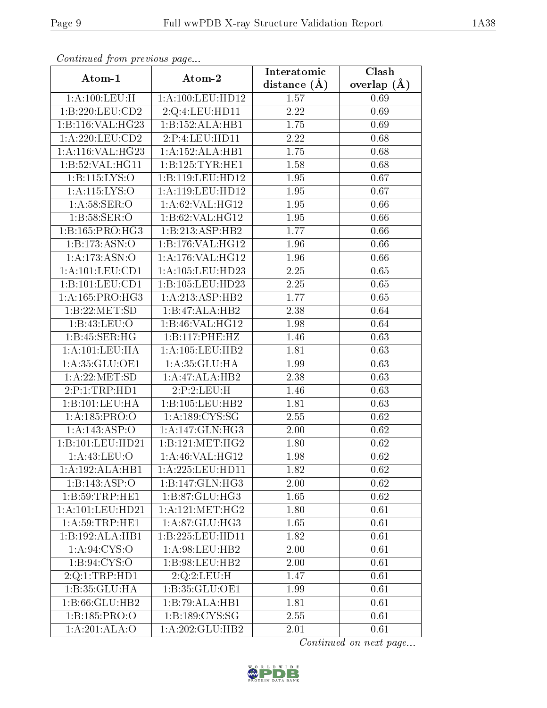| Continued from previous page      |                              | Interatomic      | Clash           |
|-----------------------------------|------------------------------|------------------|-----------------|
| Atom-1                            | Atom-2                       | distance $(\AA)$ | overlap $(\AA)$ |
| 1: A: 100: LEU:H                  | 1:A:100:LEU:HD12             | 1.57             | 0.69            |
| 1:B:220:LEU:CD2                   | 2:Q:4:LEU:HD11               | 2.22             | 0.69            |
| 1:B:116:VAL:HG23                  | 1:B:152:ALA:HB1              | 1.75             | 0.69            |
| 1:A:220:LEU:CD2                   | 2:P:4:LEU:HD11               | 2.22             | 0.68            |
| 1:A:116:VAL:HG23                  | 1:A:152:ALA:HB1              | 1.75             | 0.68            |
| 1:B:52:VAL:H <sub>G11</sub>       | 1:B:125:TYR:HE1              | 1.58             | 0.68            |
| 1:B:115:LYS:O                     | 1:B:119:LEU:HD12             | 1.95             | 0.67            |
| 1:A:115:LYS:O                     | 1:A:119:LEU:HD12             | 1.95             | 0.67            |
| 1: A:58: SER:O                    | 1: A:62: VAL: HG12           | 1.95             | 0.66            |
| 1: B:58: SER:O                    | 1:B:62:VAL:HG12              | 1.95             | 0.66            |
| 1:B:165:PRO:HG3                   | 1:B:213:ASP:HB2              | 1.77             | 0.66            |
| 1:B:173:ASN:O                     | 1:B:176:VAL:HG12             | 1.96             | 0.66            |
| 1:A:173:ASN:O                     | 1:A:176:VAL:HG12             | 1.96             | 0.66            |
| 1: A: 101: LEU: CD1               | 1:A:105:LEU:HD23             | 2.25             | 0.65            |
| 1:B:101:LEU:CD1                   | 1:B:105:LEU:HD23             | 2.25             | 0.65            |
| 1:A:165:PRO:HG3                   | 1: A:213: ASP:HB2            | 1.77             | 0.65            |
| 1:B:22:MET:SD                     | 1:B:47:ALA:HB2               | 2.38             | 0.64            |
| 1:B:43:LEU:O                      | 1:B:46:VAL:H <sub>G12</sub>  | 1.98             | 0.64            |
| 1:B:45:SER:HG                     | 1:B:117:PHE:HZ               | 1.46             | 0.63            |
| 1:A:101:LEU:HA                    | 1: A: 105: LEU: HB2          | 1.81             | 0.63            |
| 1:A:35:GLU:OE1                    | 1: A:35: GLU:HA              | 1.99             | 0.63            |
| 1: A:22:MET:SD                    | 1:A:47:ALA:HB2               | 2.38             | 0.63            |
| 2:P:1:TRP:HD1                     | 2:P:2:LEU:H                  | 1.46             | 0.63            |
| 1:B:101:LEU:HA                    | 1:B:105:LEU:HB2              | 1.81             | 0.63            |
| 1:A:185:PRO:O                     | 1: A: 189: CYS: SG           | 2.55             | 0.62            |
| 1:A:143:ASP:O                     | 1: A:147: GLN: HG3           | 2.00             | $0.62\,$        |
| 1:B:101:LEU:HD21                  | 1:B:121:MET:HG2              | 1.80             | 0.62            |
| 1:A:43:LEU:O                      | 1: A:46: VAL:HG12            | 1.98             | 0.62            |
| 1:A:192:ALA:HB1                   | 1:A:225:LEU:HD11             | 1.82             | 0.62            |
| 1:B:143:ASP:O                     | 1:B:147:GLN:HG3              | 2.00             | 0.62            |
| 1:B:59:TRP:HE1                    | 1:B:87:GLU:HG3               | 1.65             | 0.62            |
| 1:A:101:LEU:HD21                  | 1: A: 121: MET:HG2           | 1.80             | 0.61            |
| 1: A:59:TRP:HE1                   | 1:A:87:GLU:HG3               | 1.65             | 0.61            |
| 1:B:192:ALA:HB1                   | 1:B:225:LEU:HD11             | 1.82             | 0.61            |
| 1: A:94: CYS:O                    | 1: A:98: LEU: HB2            | 2.00             | 0.61            |
| 1: B: 94: CYS:O                   | 1:B:98:LEU:HB2               | 2.00             | 0.61            |
| 2:Q:1:TRP:HD1                     | 2:Q:2:LEU:H                  | 1.47             | 0.61            |
| 1:B:35:GLU:HA                     | 1:B:35:GLU:OE1               | 1.99             | 0.61            |
| 1:B:66:GLU:HB2                    | 1:B:79:ALA:HB1               | 1.81             | 0.61            |
| 1:B:185:PRO:O                     | 1:B:189:CYS:SG               | $2.55\,$         | 0.61            |
| $1:A:201:\overline{\text{ALA}:O}$ | $1:\overline{A:202:GLU:HB2}$ | 2.01             | 0.61            |

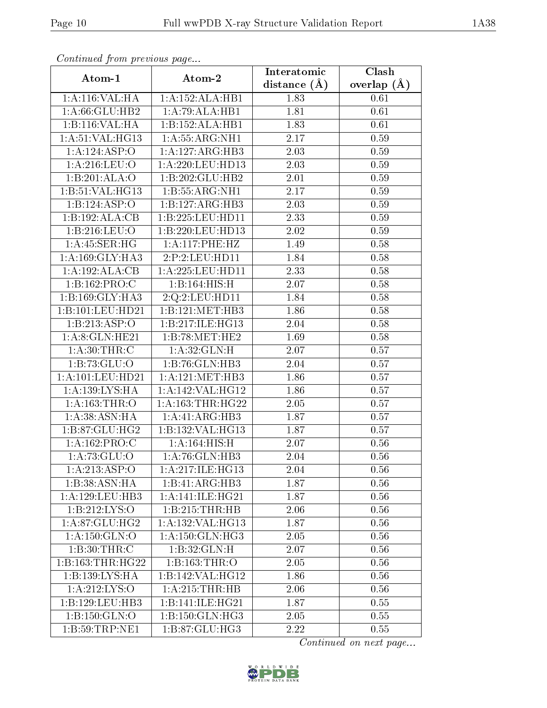| Continuea from previous page<br>Clash<br>Interatomic |                      |                  |               |  |
|------------------------------------------------------|----------------------|------------------|---------------|--|
| Atom-1                                               | Atom-2               | distance $(\AA)$ | overlap $(A)$ |  |
| 1:A:116:VAL:HA                                       | 1:A:152:ALA:HB1      | 1.83             | 0.61          |  |
| 1: A:66: GLU:HB2                                     | 1:A:79:ALA:HB1       | 1.81             | 0.61          |  |
| 1:B:116:VAL:HA                                       | 1:B:152:ALA:HB1      | 1.83             | 0.61          |  |
| 1: A:51: VAL:HG13                                    | 1:A:55:ARG:NH1       | 2.17             | 0.59          |  |
| 1:A:124:ASP:O                                        | 1:A:127:ARG:HB3      | 2.03             | 0.59          |  |
| 1:A:216:LEU:O                                        | 1:A:220:LEU:HD13     | 2.03             | 0.59          |  |
| 1:B:201:ALA:O                                        | 1:B:202:GLU:HB2      | 2.01             | 0.59          |  |
| 1:B:51:VAL:HG13                                      | 1:B:55:ARG:NH1       | 2.17             | 0.59          |  |
| 1:B:124:ASP:O                                        | 1:B:127:ARG:HB3      | 2.03             | 0.59          |  |
| 1:B:192:ALA:CB                                       | 1:B:225:LEU:HD11     | 2.33             | 0.59          |  |
| 1:B:216:LEU:O                                        | 1:B:220:LEU:HD13     | 2.02             | 0.59          |  |
| 1:A:45:SER:HG                                        | 1:A:117:PHE:HZ       | 1.49             | 0.58          |  |
| 1: A: 169: GLY: HA3                                  | 2:P:2:LEU:HD11       | 1.84             | 0.58          |  |
| 1:A:192:ALA:CB                                       | 1: A: 225: LEU: HD11 | 2.33             | 0.58          |  |
| 1:B:162:PRO:C                                        | 1:B:164:HIS:H        | 2.07             | 0.58          |  |
| 1:B:169:GLY:HA3                                      | 2:Q:2:LEU:HD11       | 1.84             | 0.58          |  |
| 1:B:101:LEU:HD21                                     | 1:B:121:MET:HB3      | 1.86             | 0.58          |  |
| 1:B:213:ASP:O                                        | 1:B:217:ILE:HG13     | 2.04             | 0.58          |  |
| 1: A:8: GLN: HE21                                    | 1:B:78:MET:HE2       | 1.69             | 0.58          |  |
| 1: A:30:THR:C                                        | 1: A:32: GLN:H       | 2.07             | 0.57          |  |
| 1:B:73:GLU:O                                         | 1:B:76:GLN:HB3       | 2.04             | 0.57          |  |
| 1:A:101:LEU:HD21                                     | 1:A:121:MET:HB3      | 1.86             | 0.57          |  |
| 1: A: 139: LYS: HA                                   | 1:A:142:VAL:HG12     | 1.86             | 0.57          |  |
| 1:A:163:THR:O                                        | 1: A: 163: THR: HG22 | 2.05             | 0.57          |  |
| 1:A:38:ASN:HA                                        | 1:A:41:ARG:HB3       | 1.87             | 0.57          |  |
| 1:B:87:GLU:HG2                                       | 1:B:132:VAL:HG13     | 1.87             | 0.57          |  |
| 1:A:162:PRO:C                                        | 1:A:164:HIS:H        | 2.07             | 0.56          |  |
| 1:A:73:GLU:O                                         | 1:A:76:GLN:HB3       | 2.04             | 0.56          |  |
| 1:A:213:ASP:O                                        | 1: A:217: ILE: HG13  | 2.04             | 0.56          |  |
| 1:B:38:ASN:HA                                        | 1:B:41:ARG:HB3       | 1.87             | 0.56          |  |
| 1:A:129:LEU:HB3                                      | 1: A:141: ILE: HG21  | 1.87             | 0.56          |  |
| 1:B:212:LYS:O                                        | 1:B:215:THR:HB       | 2.06             | 0.56          |  |
| 1: A:87: GLU:HG2                                     | 1: A: 132: VAL: HG13 | 1.87             | 0.56          |  |
| 1: A: 150: GLN: O                                    | 1: A:150: GLN: HG3   | 2.05             | 0.56          |  |
| 1: B:30:THR:C                                        | 1:B:32:GLN:H         | 2.07             | 0.56          |  |
| 1:B:163:THR:HG22                                     | 1:B:163:THR:O        | 2.05             | 0.56          |  |
| 1:B:139:LYS:HA                                       | 1:B:142:VAL:HG12     | 1.86             | 0.56          |  |
| 1:A:212:LYS:O                                        | 1: A:215:THR:HB      | 2.06             | 0.56          |  |
| 1:B:129:LEU:HB3                                      | 1:B:141:ILE:HG21     | 1.87             | 0.55          |  |
| 1:B:150:GLN:O                                        | 1:B:150:GLN:HG3      | 2.05             | 0.55          |  |
| 1: B:59: TRP: NE1                                    | 1:B:87:GLU:HG3       | 2.22             | 0.55          |  |

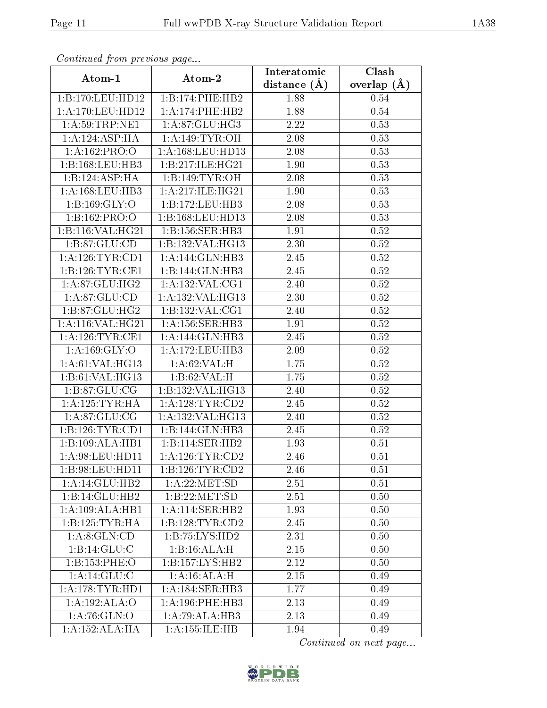| Continuea from previous page<br>Clash<br>Interatomic |                      |                   |               |  |  |
|------------------------------------------------------|----------------------|-------------------|---------------|--|--|
| Atom-1                                               | Atom-2               | distance $(A)$    | overlap $(A)$ |  |  |
| 1:B:170:LEU:HD12                                     | 1:B:174:PHE:HB2      | 1.88              | 0.54          |  |  |
| 1:A:170:LEU:HD12                                     | 1:A:174:PHE:HB2      | 1.88              | 0.54          |  |  |
| 1: A:59:TRP:NE1                                      | 1: A:87: GLU:HG3     | 2.22              | 0.53          |  |  |
| $1:A:12\overline{4:ASP:HA}$                          | 1: A:149: TYR:OH     | 2.08              | 0.53          |  |  |
| 1: A: 162: PRO: O                                    | 1:A:168:LEU:HD13     | 2.08              | 0.53          |  |  |
| 1:B:168:LEU:HB3                                      | 1:B:217:ILE:HG21     | 1.90              | 0.53          |  |  |
| 1:B:124:ASP:HA                                       | 1: B:149: TYR: OH    | 2.08              | 0.53          |  |  |
| 1: A: 168: LEU: HB3                                  | 1: A:217: ILE: HG21  | 1.90              | 0.53          |  |  |
| 1:B:169:GLY:O                                        | 1:B:172:LEU:HB3      | 2.08              | 0.53          |  |  |
| 1:B:162:PRO:O                                        | 1:B:168:LEU:HD13     | 2.08              | 0.53          |  |  |
| 1:B:116:VAL:HG21                                     | 1:B:156:SER:HB3      | 1.91              | 0.52          |  |  |
| 1:B:87:GLU:CD                                        | 1:B:132:VAL:HG13     | 2.30              | 0.52          |  |  |
| 1: A:126: TYR: CD1                                   | 1:A:144:GLN:HB3      | 2.45              | 0.52          |  |  |
| 1:B:126:TYR:CE1                                      | 1:B:144:GLN:HB3      | 2.45              | 0.52          |  |  |
| 1:A:87:GLU:HG2                                       | 1: A: 132: VAL: CG1  | 2.40              | 0.52          |  |  |
| 1: A:87: GLU:CD                                      | 1: A: 132: VAL: HG13 | 2.30              | 0.52          |  |  |
| 1:B:87:GLU:HG2                                       | 1:B:132:VAL:CG1      | 2.40              | 0.52          |  |  |
| 1: A:116: VAL:HG21                                   | 1: A: 156: SER: HB3  | 1.91              | 0.52          |  |  |
| 1: A:126:TYR:CE1                                     | 1:A:144:GLN:HB3      | $\overline{2.45}$ | 0.52          |  |  |
| 1: A: 169: GLY:O                                     | 1:A:172:LEU:HB3      | 2.09              | 0.52          |  |  |
| 1: A:61: VAL:HG13                                    | 1:A:62:VAL:H         | 1.75              | 0.52          |  |  |
| 1:B:61:VAL:HG13                                      | 1:B:62:VAL:H         | 1.75              | 0.52          |  |  |
| 1: B:87: GLU:CG                                      | 1:B:132:VAL:HG13     | 2.40              | 0.52          |  |  |
| 1: A: 125: TYR: HA                                   | 1: A:128:TYR:CD2     | 2.45              | 0.52          |  |  |
| 1:A:87:GLU:CG                                        | 1:A:132:VAL:HG13     | 2.40              | 0.52          |  |  |
| 1:B:126:TYR:CD1                                      | 1:B:144:GLN:HB3      | 2.45              | 0.52          |  |  |
| 1:B:109:ALA:HB1                                      | 1:B:114:SER:HB2      | 1.93              | 0.51          |  |  |
| 1: A:98:LEU:HD11                                     | 1: A:126: TYR: CD2   | 2.46              | 0.51          |  |  |
| 1:B:98:LEU:HD11                                      | 1: B: 126: TYR: CD2  | 2.46              | 0.51          |  |  |
| 1:A:14:GLU:HB2                                       | 1: A:22: MET:SD      | 2.51              | 0.51          |  |  |
| 1:B:14:GLU:HB2                                       | 1:B:22:MET:SD        | 2.51              | 0.50          |  |  |
| 1:A:109:ALA:HB1                                      | 1: A:114: SER: HB2   | 1.93              | 0.50          |  |  |
| 1: B: 125: TYR: HA                                   | 1:B:128:TYR:CD2      | 2.45              | 0.50          |  |  |
| 1:A:8:GLN:CD                                         | 1:B:75:LYS:HD2       | 2.31              | 0.50          |  |  |
| 1:B:14:GLU:C                                         | 1:B:16:ALA:H         | 2.15              | 0.50          |  |  |
| 1:B:153:PHE:O                                        | 1: B: 157: LYS: HB2  | 2.12              | 0.50          |  |  |
| 1: A:14: GLU: C                                      | 1:A:16:ALA:H         | 2.15              | 0.49          |  |  |
| 1: A:178:TYR:HD1                                     | 1:A:184:SER:HB3      | 1.77              | 0.49          |  |  |
| 1:A:192:ALA:O                                        | 1: A:196: PHE:HB3    | 2.13              | 0.49          |  |  |
| 1: A:76: GLN:O                                       | 1:A:79:ALA:HB3       | 2.13              | 0.49          |  |  |
| 1:A:152:ALA:HA                                       | 1:A:155:ILE:HB       | 1.94              | 0.49          |  |  |

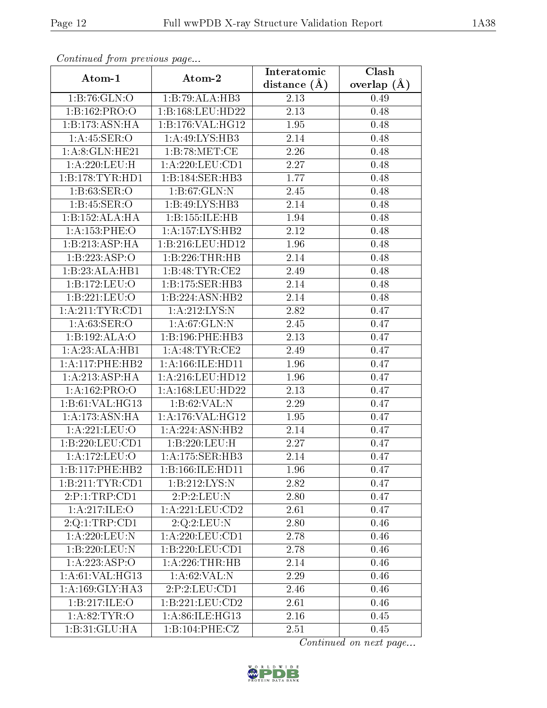| Continued from previous page     |                                                   | Interatomic    | Clash           |
|----------------------------------|---------------------------------------------------|----------------|-----------------|
| Atom-1                           | Atom-2                                            | distance $(A)$ | overlap $(\AA)$ |
| 1:B:76:GLN:O                     | 1:B:79:ALA:HB3                                    | 2.13           | 0.49            |
| 1:B:162:PRO:O                    | 1:B:168:LEU:HD22                                  | 2.13           | 0.48            |
| 1:B:173:ASN:HA                   | 1:B:176:VAL:HG12                                  | 1.95           | 0.48            |
| 1: A:45: SER:O                   | 1: A:49: LYS: HB3                                 | 2.14           | 0.48            |
| 1: A:8: GLN: HE21                | 1:B:78:MET:CE                                     | 2.26           | 0.48            |
| 1: A:220: LEU:H                  | 1: A: 220: LEU: CD1                               | 2.27           | 0.48            |
| 1:B:178:TYR:HDI                  | 1:B:184:SER:HB3                                   | 1.77           | 0.48            |
| 1:B:63:SER:O                     | 1:B:67:GLN:N                                      | 2.45           | 0.48            |
| 1: B: 45: SER: O                 | 1:B:49:LYS:HB3                                    | 2.14           | 0.48            |
| 1:B:152:ALA:HA                   | 1:B:155:ILE:HB                                    | 1.94           | 0.48            |
| 1:A:153:PHE:O                    | 1:A:157:LYS:HB2                                   | 2.12           | 0.48            |
| 1:B:213:ASP:HA                   | 1:B:216:LEU:HD12                                  | 1.96           | 0.48            |
| 1:B:223:ASP:O                    | 1:B:226:THR:HB                                    | 2.14           | 0.48            |
| 1:B:23:ALA:HB1                   | 1:B:48:TYR:CE2                                    | 2.49           | 0.48            |
| 1:B:172:LEU:O                    | 1:B:175:SER:HB3                                   | 2.14           | 0.48            |
| 1:B:221:LEU:O                    | 1:B:224:ASN:HB2                                   | 2.14           | 0.48            |
| 1:A:211:TYR:CD1                  | 1:A:212:LYS:N                                     | 2.82           | 0.47            |
| 1: A:63: SER:O                   | 1: A:67: GLN:N                                    | 2.45           | 0.47            |
| 1:B:192:ALA:O                    | 1:B:196:PHE:HB3                                   | 2.13           | 0.47            |
| 1:A:23:ALA:HB1                   | 1: A:48:TYR:CE2                                   | 2.49           | 0.47            |
| 1:A:117:PHE:HB2                  | 1: A: 166: ILE: HD11                              | 1.96           | 0.47            |
| 1:A:213:ASP:HA                   | 1:A:216:LEU:HD12                                  | 1.96           | 0.47            |
| 1:A:162:PRO:O                    | 1: A: 168: LEU: HD22                              | 2.13           | 0.47            |
| 1: B:61: VAL:HG13                | 1:B:62:VAL:N                                      | 2.29           | 0.47            |
| 1:A:173:ASN:HA                   | 1:A:176:VAL:HG12                                  | 1.95           | 0.47            |
| 1:A:221:LEU:O                    | 1:A:224:ASN:HB2                                   | 2.14           | 0.47            |
| 1:B:220:LEU:CD1                  | 1:B:220:LEU:H                                     | 2.27           | 0.47            |
| 1:A:172:LEU:O                    | 1:A:175:SER:HB3                                   | 2.14           | 0.47            |
| 1:B:117:PHE:HB2                  | 1:B:166:ILE:HD11                                  | 1.96           | 0.47            |
| 1:B:211:TYR:CD1                  | 1:B:212:LYS:N                                     | 2.82           | 0.47            |
| 2:P:1:TRP:CD1                    | 2:P:2:LEU:N                                       | 2.80           | 0.47            |
| 1:A:217:ILE:O                    | 1:A:221:LEU:CD2                                   | 2.61           | 0.47            |
| 2:Q:1:TRP:CD1                    | $2:Q:2:\overline{\text{LEU}}:\overline{\text{N}}$ | 2.80           | 0.46            |
| 1:A:220:LEU:N                    | 1:A:220:LEU:CD1                                   | 2.78           | $0.46\,$        |
| 1:B:220:LEU:N                    | 1:B:220:LEU:CD1                                   | 2.78           | 0.46            |
| 1:A:223:ASP:O                    | 1:A:226:THR:HB                                    | 2.14           | 0.46            |
| 1: A:61: VAL:HG13                | 1: A:62:VAL: N                                    | 2.29           | 0.46            |
| $1:A:169:$ GLY: $H\overline{A3}$ | 2:P:2:LEU:CD1                                     | 2.46           | 0.46            |
| 1:B:217:ILE:O                    | 1:B:221:LEU:CD2                                   | 2.61           | 0.46            |
| 1: A:82:TYR:O                    | 1: A:86: ILE: HG13                                | 2.16           | 0.45            |
| 1:B:31:GLU:HA                    | 1:B:104:PHE:CZ                                    | 2.51           | 0.45            |

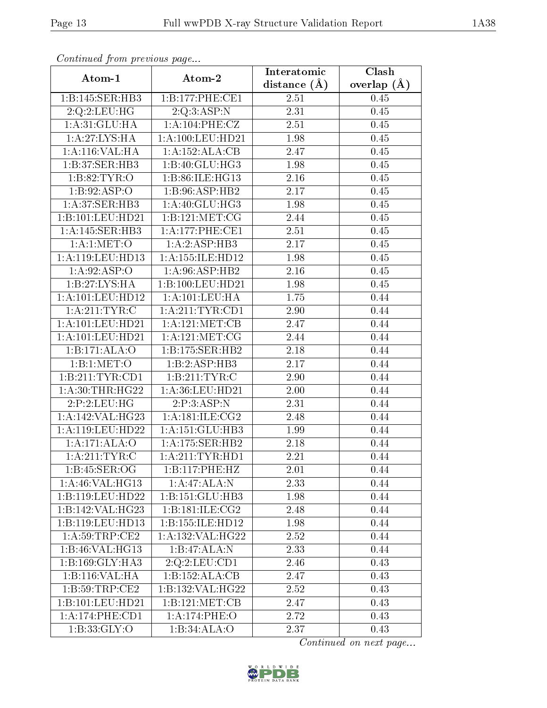| Continuea from previous page<br>Clash<br>Interatomic |                      |                   |                 |  |
|------------------------------------------------------|----------------------|-------------------|-----------------|--|
| Atom-1                                               | Atom-2               | distance $(A)$    | overlap $(\AA)$ |  |
| 1:B:145:SER:HB3                                      | 1:B:177:PHE:CE1      | 2.51              | 0.45            |  |
| 2:Q:2:LEU:HG                                         | 2:Q:3:ASP:N          | $\overline{2.31}$ | 0.45            |  |
| 1: A:31: GLU: HA                                     | 1:A:104:PHE:CZ       | 2.51              | 0.45            |  |
| 1:A:27:LYS:HA                                        | 1:A:100:LEU:HD21     | 1.98              | 0.45            |  |
| 1: A:116: VAL: HA                                    | 1:A:152:ALA:CB       | 2.47              | 0.45            |  |
| 1:B:37:SER:HB3                                       | 1:B:40:GLU:HG3       | 1.98              | 0.45            |  |
| 1:B:82:TYR:O                                         | 1:B:86:ILE:HG13      | 2.16              | 0.45            |  |
| 1:B:92:ASP:O                                         | 1:B:96:ASP:HB2       | 2.17              | 0.45            |  |
| 1:A:37:SER:HB3                                       | 1: A:40: GLU:HG3     | 1.98              | 0.45            |  |
| 1:B:101:LEU:HD21                                     | 1: B: 121: MET: CG   | 2.44              | 0.45            |  |
| 1:A:145:SER:HB3                                      | 1: A:177:PHE:CE1     | 2.51              | 0.45            |  |
| 1: A:1: MET:O                                        | 1:A:2:ASP:HB3        | 2.17              | 0.45            |  |
| 1:A:119:LEU:HD13                                     | 1: A: 155: ILE: HD12 | 1.98              | 0.45            |  |
| 1:A:92:ASP:O                                         | 1: A:96: ASP:HB2     | 2.16              | 0.45            |  |
| 1:B:27:LYS:HA                                        | 1:B:100:LEU:HD21     | 1.98              | 0.45            |  |
| 1:A:101:LEU:HD12                                     | 1: A:101:LEV:HA      | 1.75              | 0.44            |  |
| 1: A:211:TYR:C                                       | 1: A:211:TYR:CD1     | 2.90              | 0.44            |  |
| 1:A:101:LEU:HD21                                     | 1: A:121: MET:CB     | 2.47              | 0.44            |  |
| 1:A:101:LEU:HD21                                     | 1: A: 121: MET: CG   | 2.44              | 0.44            |  |
| 1:B:171:ALA:O                                        | 1:B:175:SER:HB2      | 2.18              | 0.44            |  |
| 1:B:1:MET:O                                          | 1:B:2:ASP:HB3        | 2.17              | 0.44            |  |
| 1:B:211:TYR:CD1                                      | 1:B:211:TYR:C        | 2.90              | 0.44            |  |
| 1: A:30:THR:HG22                                     | 1:A:36:LEU:HD21      | 2.00              | 0.44            |  |
| 2:P:2:LEU:HG                                         | 2:P:3:ASP:N          | 2.31              | 0.44            |  |
| 1: A:142:VAL:HG23                                    | 1: A:181: ILE: CG2   | 2.48              | 0.44            |  |
| 1:A:119:LEU:HD22                                     | 1:A:151:GLU:HB3      | 1.99              | 0.44            |  |
| 1:A:171:ALA:O                                        | 1:A:175:SER:HB2      | 2.18              | 0.44            |  |
| 1: A:211:TYR:C                                       | 1:A:211:TYR:HD1      | 2.21              | 0.44            |  |
| 1:B:45:SER:OG                                        | 1:B:117:PHE:HZ       | 2.01              | 0.44            |  |
| 1:A:46:VAL:HG13                                      | 1:A:47:ALA:N         | 2.33              | 0.44            |  |
| 1:B:119:LEU:HD22                                     | 1: B: 151: GLU: HB3  | 1.98              | 0.44            |  |
| 1:B:142:VAL:H G <sub>23</sub>                        | 1:B:181:ILE:CG2      | 2.48              | 0.44            |  |
| 1:B:119:LEU:HD13                                     | 1:B:155:ILE:HD12     | 1.98              | 0.44            |  |
| 1: A:59:TRP:CE2                                      | 1:A:132:VAL:HG22     | 2.52              | 0.44            |  |
| 1:B:46:VAL:H <sub>G13</sub>                          | 1:B:47:ALA:N         | 2.33              | 0.44            |  |
| 1:B:169:GLY:HA3                                      | 2:Q:2:LEU:CD1        | 2.46              | 0.43            |  |
| 1:B:116:VAL:HA                                       | 1:B:152:ALA:CB       | 2.47              | 0.43            |  |
| 1:B:59:TRP:CE2                                       | 1:B:132:VAL:HG22     | 2.52              | 0.43            |  |
| 1:B:101:LEU:HD21                                     | 1: B: 121: MET: CB   | 2.47              | 0.43            |  |
| 1: A:174:PHE:CD1                                     | 1:A:174:PHE:O        | 2.72              | 0.43            |  |
| 1: B:33: GLY:O                                       | 1:B:34:ALA:O         | 2.37              | 0.43            |  |

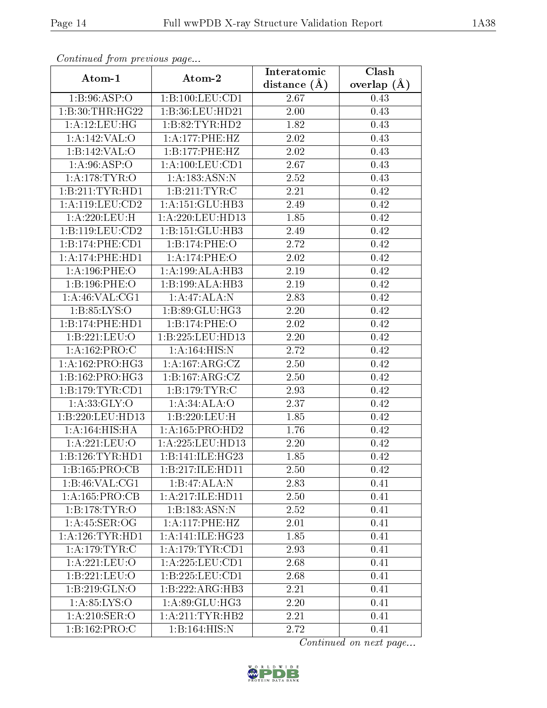| Continuatu from previous page        |                              | Interatomic    | $\overline{\text{Clash}}$ |
|--------------------------------------|------------------------------|----------------|---------------------------|
| Atom-1                               | Atom-2                       | distance $(A)$ | overlap $(A)$             |
| 1: B:96: ASP:O                       | 1:B:100:LEU:CD1              | 2.67           | 0.43                      |
| 1:B:30:THR:HG22                      | 1:B:36:LEU:HD21              | 2.00           | 0.43                      |
| 1:A:12:LEU:HG                        | 1:B:82:TYR:HD2               | 1.82           | 0.43                      |
| 1:A:142:VAL:O                        | 1:A:177:PHE:HZ               | 2.02           | 0.43                      |
| 1:B:142:VAL:O                        | 1:B:177:PHE:HZ               | 2.02           | 0.43                      |
| 1: A:96: ASP:O                       | 1: A: 100: LEU: CD1          | 2.67           | 0.43                      |
| 1: A:178: TYR:O                      | 1:A:183:ASN:N                | 2.52           | 0.43                      |
| 1:B:211:TYR:HD1                      | 1:B:211:TYR:C                | 2.21           | 0.42                      |
| 1: A: 119: LEU: CD2                  | 1: A:151: GLU:HB3            | 2.49           | 0.42                      |
| 1: A:220: LEU:H                      | 1: A:220: LEU: HD13          | 1.85           | 0.42                      |
| 1:B:119:LEU:CD2                      | 1:B:151:GLU:HB3              | 2.49           | 0.42                      |
| 1:B:174:PHE:CD1                      | 1:B:174:PHE:O                | 2.72           | 0.42                      |
| 1:A:174:PHE:HD1                      | 1:A:174:PHE:O                | 2.02           | 0.42                      |
| 1: A:196:PHE:O                       | 1:A:199:ALA:HB3              | 2.19           | 0.42                      |
| 1:B:196:PHE:O                        | 1:B:199:ALA:HB3              | 2.19           | 0.42                      |
| 1: A:46: VAL:CG1                     | 1:A:47:ALA:N                 | 2.83           | 0.42                      |
| 1: B: 85: LYS:O                      | 1:B:89:GLU:HG3               | 2.20           | 0.42                      |
| 1:B:174:PHE:HD1                      | 1:B:174:PHE:O                | 2.02           | 0.42                      |
| 1:B:221:LEU:O                        | 1:B:225:LEU:HD13             | 2.20           | 0.42                      |
| 1:A:162:PRO:C                        | 1: A:164: HIS:N              | 2.72           | 0.42                      |
| 1:A:162:PRO:HG3                      | 1: A:167: ARG: CZ            | 2.50           | 0.42                      |
| 1:B:162:PRO:HG3                      | 1:B:167:ARG:CZ               | 2.50           | 0.42                      |
| 1: B: 179: TYR: CD1                  | 1:B:179:TYR:C                | 2.93           | 0.42                      |
| 1: A: 33: GLY: O                     | 1:A:34:ALA:O                 | 2.37           | 0.42                      |
| 1:B:220:LEU:HD13                     | 1:B:220:LEU:H                | 1.85           | 0.42                      |
| 1:A:164:HIS:HA                       | 1:A:165:PRO:HD2              | 1.76           | 0.42                      |
| 1:A:221:LEU:O                        | 1:A:225:LEU:HD13             | 2.20           | 0.42                      |
| 1:B:126:TYR:HDI                      | 1:B:141:ILE:HG23             | 1.85           | 0.42                      |
| 1:B:165:PRO:CB                       | 1:B:217:ILE:HD11             | 2.50           | 0.42                      |
| $1:B:46:V\overline{\mathrm{AL:CG1}}$ | 1:B:47:ALA:N                 | 2.83           | 0.41                      |
| 1: A: 165: PRO:CB                    | 1:A:217:ILE:HD11             | 2.50           | 0.41                      |
| 1:B:178:TYR:O                        | 1:B:183:ASN:N                | 2.52           | 0.41                      |
| 1: A: 45: SER: OG                    | 1:A:117:PHE:HZ               | 2.01           | 0.41                      |
| 1: A:126:TYR:HD1                     | 1: A:141: ILE:HG23           | 1.85           | 0.41                      |
| 1:A:179:TYR:C                        | 1: A:179:TYR:CD1             | 2.93           | 0.41                      |
| 1:A:221:LEU:O                        | 1: A: 225: LEU: CD1          | 2.68           | 0.41                      |
| 1:B:221:LEU:O                        | 1:B:225:LEU:CD1              | 2.68           | 0.41                      |
| 1: B:219: GLN:O                      | $1:B:222:AR\overline{G:HB3}$ | 2.21           | 0.41                      |
| 1: A:85: LYS:O                       | 1:A:89:GLU:HG3               | 2.20           | 0.41                      |
| 1: A:210: SER:O                      | 1: A:211:TYR:HB2             | 2.21           | 0.41                      |
| 1:B:162:PRO:C                        | 1:B:164:HIS:N                | 2.72           | 0.41                      |

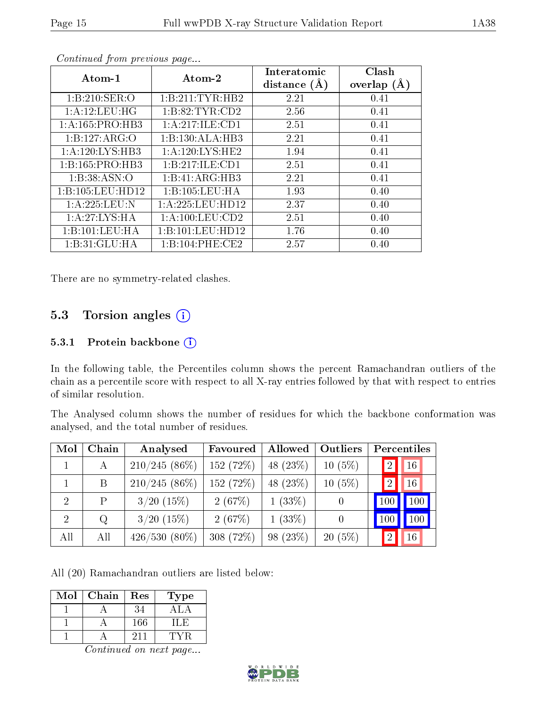| Atom-1            | Atom-2              | Interatomic<br>distance $(A)$ | Clash<br>overlap $(A)$ |
|-------------------|---------------------|-------------------------------|------------------------|
| 1: B:210: SER:O   | 1:B:211:TYR:HB2     | 2.21                          | 0.41                   |
| 1:A:12:LEU:HG     | 1: B:82: TYR:CD2    | 2.56                          | 0.41                   |
| 1:A:165:PRO:HB3   | 1:A:217:ILE:CD1     | 2.51                          | 0.41                   |
| 1:B:127:ARG:O     | 1:B:130:ALA:HB3     | 2.21                          | 0.41                   |
| 1:A:120:LYS:HB3   | 1: A: 120: LYS: HE2 | 1.94                          | 0.41                   |
| 1:B:165:PRO:HB3   | 1:B:217:ILE:CD1     | 2.51                          | 0.41                   |
| 1:B:38:ASN:O      | 1:B:41:ARG:HB3      | 2.21                          | 0.41                   |
| 1:B:105:LEU:HD12  | 1:B:105:LEU:HA      | 1.93                          | 0.40                   |
| 1: A: 225: LEU: N | 1:A:225:LEU:HD12    | 2.37                          | 0.40                   |
| 1:A:27:LYS:HA     | 1: A: 100: LEU: CD2 | 2.51                          | 0.40                   |
| 1:B:101:LEU:HA    | 1:B:101:LEU:HD12    | 1.76                          | 0.40                   |
| 1: B:31: GLU:HA   | 1: B: 104: PHE: CE2 | 2.57                          | 0.40                   |

There are no symmetry-related clashes.

### 5.3 Torsion angles (i)

#### 5.3.1 Protein backbone (i)

In the following table, the Percentiles column shows the percent Ramachandran outliers of the chain as a percentile score with respect to all X-ray entries followed by that with respect to entries of similar resolution.

The Analysed column shows the number of residues for which the backbone conformation was analysed, and the total number of residues.

| Mol            | Chain | Analysed        | Favoured  | Allowed     | Outliers         | Percentiles          |
|----------------|-------|-----------------|-----------|-------------|------------------|----------------------|
|                | А     | $210/245(86\%)$ | 152(72%)  | 48 $(23\%)$ | $10(5\%)$        | 16<br>-2             |
|                | B     | $210/245(86\%)$ | 152 (72%) | 48 (23\%)   | $10(5\%)$        | 16<br> 2             |
| -2             | P     | $3/20$ $(15\%)$ | 2(67%)    | $1(33\%)$   | $\left( \right)$ | 100                  |
| $\overline{2}$ | Q     | $3/20$ $(15\%)$ | 2(67%)    | $1(33\%)$   | $\left( \right)$ |                      |
| All            | All   | $426/530(80\%)$ | 308 (72%) | 98 (23\%)   | $20(5\%)$        | 16<br>$\overline{2}$ |

All (20) Ramachandran outliers are listed below:

| Mol | Chain | Res | ype |
|-----|-------|-----|-----|
|     |       | 34  |     |
|     |       | 166 |     |
|     |       | 211 |     |

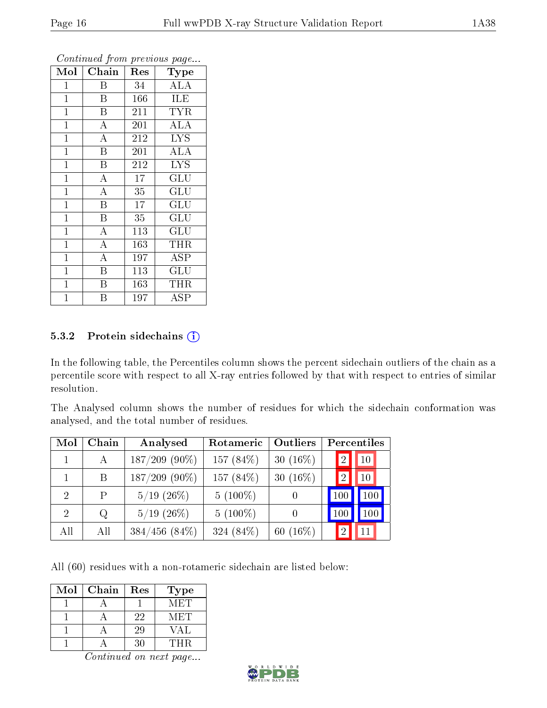| Mol            | Chain                   | Res | Type                    |
|----------------|-------------------------|-----|-------------------------|
| $\mathbf 1$    | Β                       | 34  | <b>ALA</b>              |
| $\mathbf{1}$   | $\mathbf{B}$            | 166 | <b>ILE</b>              |
| $\mathbf{1}$   | B                       | 211 | $\overline{\text{TYR}}$ |
| $\mathbf 1$    | $\boldsymbol{A}$        | 201 | ALA                     |
| $\mathbf 1$    | $\overline{\rm A}$      | 212 | <b>LYS</b>              |
| $\mathbf{1}$   | B                       | 201 | <b>ALA</b>              |
| $\mathbf{1}$   | B                       | 212 | <b>LYS</b>              |
| $\mathbf{1}$   | $\overline{A}$          | 17  | GLU                     |
| $\mathbf{1}$   | $\overline{\rm A}$      | 35  | <b>GLU</b>              |
| $\mathbf{1}$   | $\overline{\mathrm{B}}$ | 17  | GLU                     |
| $\mathbf{1}$   | $\overline{\mathrm{B}}$ | 35  | GLU                     |
| $\overline{1}$ | $\overline{\rm A}$      | 113 | GLU                     |
| $\mathbf{1}$   | $\overline{\rm A}$      | 163 | THR                     |
| $\mathbf 1$    | $\overline{\rm A}$      | 197 | ASP                     |
| 1              | B                       | 113 | $\operatorname{GLU}$    |
| 1              | Β                       | 163 | THR                     |
| $\overline{1}$ | В                       | 197 | ${\rm ASP}$             |

#### 5.3.2 Protein sidechains (i)

In the following table, the Percentiles column shows the percent sidechain outliers of the chain as a percentile score with respect to all X-ray entries followed by that with respect to entries of similar resolution.

The Analysed column shows the number of residues for which the sidechain conformation was analysed, and the total number of residues.

| Mol                         | Chain | Analysed           | Rotameric  | Outliers    | Percentiles                       |
|-----------------------------|-------|--------------------|------------|-------------|-----------------------------------|
|                             | A     | $187/209$ (90%)    | 157 (84\%) | 30 $(16\%)$ | $ 10\rangle$<br>12'               |
|                             | B.    | $187/209$ (90%)    | 157 (84\%) | 30 $(16\%)$ | 10 <sup>°</sup><br>$\overline{2}$ |
| 2                           | Ρ     | $5/19$ $(26\%)$    | $5(100\%)$ |             | $100\,$<br>100                    |
| $\mathcal{D}_{\mathcal{L}}$ | Q     | $5/19$ $(26\%)$    | $5(100\%)$ |             | $100\,$<br>100                    |
| All                         | All   | $384/456$ $(84\%)$ | 324 (84%)  | 60 $(16\%)$ | $\Omega$                          |

All (60) residues with a non-rotameric sidechain are listed below:

| Mol | Chain | Res | <b>Type</b> |
|-----|-------|-----|-------------|
|     |       |     | MET         |
|     |       | 22  | M ET        |
|     |       | 29  | VA L        |
|     |       |     | THR         |

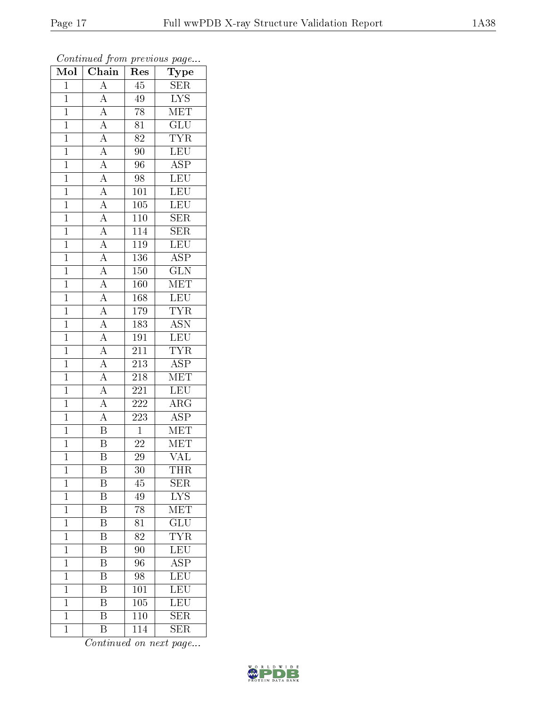| Mol            | $\overline{\text{Chain}}$                                                                                                                                                                             | Res              | Type                    |
|----------------|-------------------------------------------------------------------------------------------------------------------------------------------------------------------------------------------------------|------------------|-------------------------|
| $\mathbf{1}$   | $\overline{A}$                                                                                                                                                                                        | $\overline{45}$  | <b>SER</b>              |
| $\overline{1}$ | $\overline{A}$                                                                                                                                                                                        | 49               | $\overline{\text{LYS}}$ |
| $\mathbf{1}$   |                                                                                                                                                                                                       | $\overline{78}$  | MET                     |
| $\mathbf{1}$   |                                                                                                                                                                                                       | $\overline{81}$  | GLU                     |
| $\overline{1}$ |                                                                                                                                                                                                       | $\overline{82}$  | $\overline{\text{TYR}}$ |
| $\mathbf{1}$   |                                                                                                                                                                                                       | 90               | LEU                     |
| $\overline{1}$ |                                                                                                                                                                                                       | 96               | $\overline{\text{ASP}}$ |
| $\mathbf{1}$   |                                                                                                                                                                                                       | 98               | LEU                     |
| $\mathbf{1}$   |                                                                                                                                                                                                       | $101\,$          | LEU                     |
| $\mathbf{1}$   |                                                                                                                                                                                                       | 105              | $\overline{\text{LEU}}$ |
| $\overline{1}$ |                                                                                                                                                                                                       | 110              | <b>SER</b>              |
| $\overline{1}$ |                                                                                                                                                                                                       | 114              | $\overline{\text{SER}}$ |
| $\overline{1}$ |                                                                                                                                                                                                       | 119              | LEU                     |
| $\mathbf{1}$   | $\frac{\boxed{A}}{\boxed{A}} \frac{\boxed{A}}{\boxed{A}} \frac{\boxed{A}}{\boxed{A}} \frac{\boxed{A}}{\boxed{A}} \frac{\boxed{A}}{\boxed{A}} \frac{\boxed{A}}{\boxed{A}} \frac{\boxed{A}}{\boxed{A}}$ | 136              | $\overline{\text{ASP}}$ |
| $\overline{1}$ |                                                                                                                                                                                                       | $\overline{150}$ | $\overline{\text{GLN}}$ |
| $\mathbf{1}$   |                                                                                                                                                                                                       | 160              | MET                     |
| $\overline{1}$ |                                                                                                                                                                                                       | 168              | LEU                     |
| $\mathbf{1}$   |                                                                                                                                                                                                       | 179              | <b>TYR</b>              |
| $\overline{1}$ |                                                                                                                                                                                                       | $\overline{183}$ | $\overline{\text{ASN}}$ |
| $\mathbf{1}$   | $\frac{\overline{A}}{\overline{A}}$ $\frac{\overline{A}}{\overline{A}}$ $\frac{\overline{A}}{\overline{A}}$                                                                                           | 191              | LEU                     |
| $\overline{1}$ |                                                                                                                                                                                                       | 211              | <b>TYR</b>              |
| $\overline{1}$ |                                                                                                                                                                                                       | <b>213</b>       | $\overline{\text{ASP}}$ |
| $\mathbf{1}$   |                                                                                                                                                                                                       | $218\,$          | $\overline{\text{MET}}$ |
| $\mathbf{1}$   |                                                                                                                                                                                                       | 221              | LEU                     |
| $\mathbf{1}$   |                                                                                                                                                                                                       | 222              | $\overline{\rm{ARG}}$   |
| $\overline{1}$ | $\frac{\overline{A}}{\overline{B}}$                                                                                                                                                                   | 223              | $\overline{\text{ASP}}$ |
| $\overline{1}$ |                                                                                                                                                                                                       | $\overline{1}$   | $\overline{\text{MET}}$ |
| $\mathbf{1}$   | $\overline{\mathrm{B}}$                                                                                                                                                                               | $\sqrt{22}$      | $\overline{\text{MET}}$ |
| $\mathbf 1$    | $\overline{\mathrm{B}}$                                                                                                                                                                               | 29               | $\overline{\text{VAL}}$ |
| $\mathbf{1}$   | Β                                                                                                                                                                                                     | 30               | THR                     |
| $\mathbf{1}$   | Β                                                                                                                                                                                                     | 45               | <b>SER</b>              |
| $\mathbf{1}$   | $\overline{\mathrm{B}}$                                                                                                                                                                               | $4\overline{9}$  | $\overline{\text{LYS}}$ |
| $\mathbf{1}$   | Β                                                                                                                                                                                                     | 78               | MET                     |
| $\mathbf{1}$   | $\overline{\mathrm{B}}$                                                                                                                                                                               | $\overline{81}$  | $\overline{\text{GLU}}$ |
| $\mathbf{1}$   | Β                                                                                                                                                                                                     | 82               | <b>TYR</b>              |
| $\overline{1}$ | $\overline{\mathrm{B}}$                                                                                                                                                                               | 90               | LEU                     |
| $\mathbf{1}$   | Β                                                                                                                                                                                                     | 96               | <b>ASP</b>              |
| $\mathbf 1$    | $\overline{\rm B}$                                                                                                                                                                                    | 98               | $\overline{\text{LEU}}$ |
| $\mathbf{1}$   | Β                                                                                                                                                                                                     | 101              | LEU                     |
| $\mathbf{1}$   | Β                                                                                                                                                                                                     | 105              | LEU                     |
| $\mathbf{1}$   | $\overline{\mathrm{B}}$                                                                                                                                                                               | $\overline{110}$ | $\overline{\text{SER}}$ |
| $\mathbf{1}$   | Β                                                                                                                                                                                                     | 114              | <b>SER</b>              |

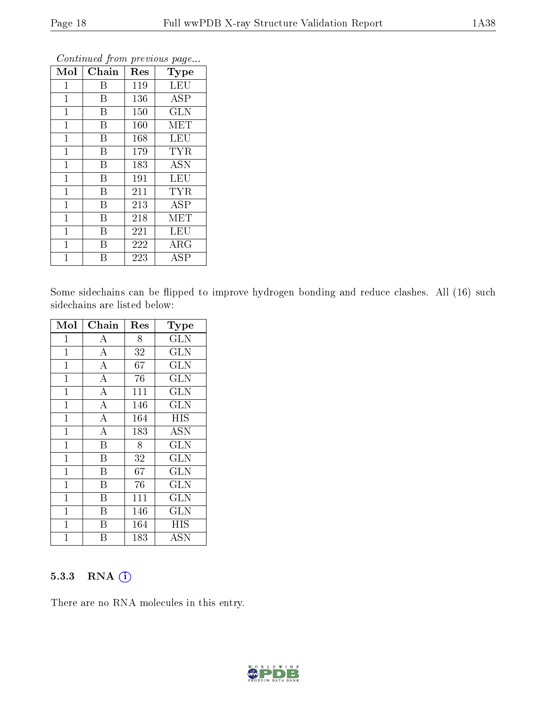| Mol            | Chain | $\operatorname{Res}% \left( \mathcal{N}\right) \equiv\operatorname{Res}(\mathcal{N}_{0})\cap\mathcal{N}_{1}$ | Type       |
|----------------|-------|--------------------------------------------------------------------------------------------------------------|------------|
| $\mathbf 1$    | Β     | 119                                                                                                          | <b>LEU</b> |
| $\mathbf{1}$   | B     | 136                                                                                                          | <b>ASP</b> |
| $\mathbf 1$    | B     | 150                                                                                                          | <b>GLN</b> |
| $\mathbf 1$    | Β     | 160                                                                                                          | MET        |
| $\mathbf 1$    | B     | 168                                                                                                          | <b>LEU</b> |
| 1              | Β     | 179                                                                                                          | <b>TYR</b> |
| $\mathbf{1}$   | B     | 183                                                                                                          | <b>ASN</b> |
| $\overline{1}$ | B     | 191                                                                                                          | LEU        |
| $\mathbf{1}$   | B     | 211                                                                                                          | <b>TYR</b> |
| $\mathbf{1}$   | B     | 213                                                                                                          | <b>ASP</b> |
| $\mathbf{1}$   | B     | 218                                                                                                          | MET        |
| $\overline{1}$ | B     | 221                                                                                                          | LEU        |
| $\mathbf 1$    | В     | 222                                                                                                          | $\rm{ARG}$ |
| 1              | В     | 223                                                                                                          | ASP        |

Some sidechains can be flipped to improve hydrogen bonding and reduce clashes. All (16) such sidechains are listed below:

| Mol          | Chain                   | Res | Type                    |
|--------------|-------------------------|-----|-------------------------|
| $\mathbf{1}$ | A                       | 8   | <b>GLN</b>              |
| $\mathbf 1$  | $\boldsymbol{A}$        | 32  | <b>GLN</b>              |
| $\mathbf{1}$ | $\overline{A}$          | 67  | <b>GLN</b>              |
| $\mathbf 1$  | $\bf{A}$                | 76  | <b>GLN</b>              |
| $\mathbf{1}$ | $\overline{A}$          | 111 | <b>GLN</b>              |
| $\mathbf{1}$ | $\overline{\rm A}$      | 146 | <b>GLN</b>              |
| 1            | $\overline{\rm A}$      | 164 | <b>HIS</b>              |
| $\mathbf{1}$ | $\overline{\rm A}$      | 183 | <b>ASN</b>              |
| $\mathbf{1}$ | $\overline{\mathrm{B}}$ | 8   | <b>GLN</b>              |
| $\mathbf{1}$ | $\overline{\mathrm{B}}$ | 32  | $\overline{\text{GLN}}$ |
| $\mathbf{1}$ | B                       | 67  | <b>GLN</b>              |
| $\mathbf{1}$ | B                       | 76  | <b>GLN</b>              |
| $\mathbf{1}$ | B                       | 111 | <b>GLN</b>              |
| $\mathbf{1}$ | B                       | 146 | <b>GLN</b>              |
| $\mathbf{1}$ | $\overline{\mathrm{B}}$ | 164 | <b>HIS</b>              |
| 1            | В                       | 183 | ASN                     |

#### 5.3.3 RNA [O](https://www.wwpdb.org/validation/2017/XrayValidationReportHelp#rna)i

There are no RNA molecules in this entry.

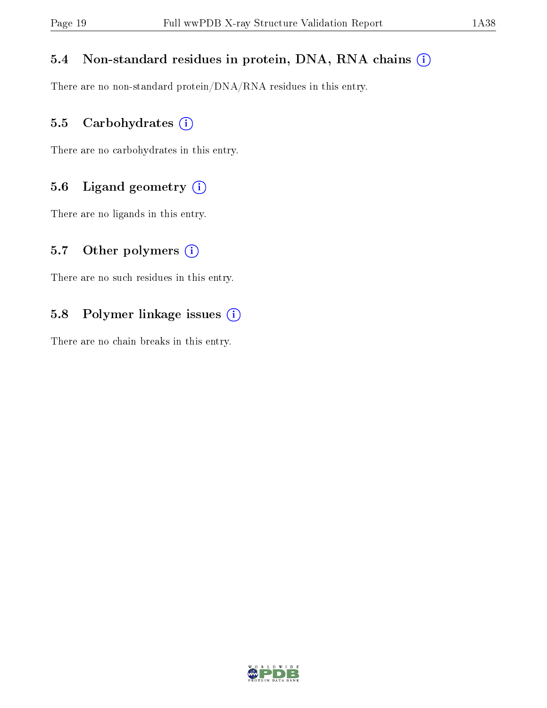#### 5.4 Non-standard residues in protein, DNA, RNA chains (i)

There are no non-standard protein/DNA/RNA residues in this entry.

### 5.5 Carbohydrates (i)

There are no carbohydrates in this entry.

### 5.6 Ligand geometry (i)

There are no ligands in this entry.

#### 5.7 [O](https://www.wwpdb.org/validation/2017/XrayValidationReportHelp#nonstandard_residues_and_ligands)ther polymers  $(i)$

There are no such residues in this entry.

### 5.8 Polymer linkage issues (i)

There are no chain breaks in this entry.

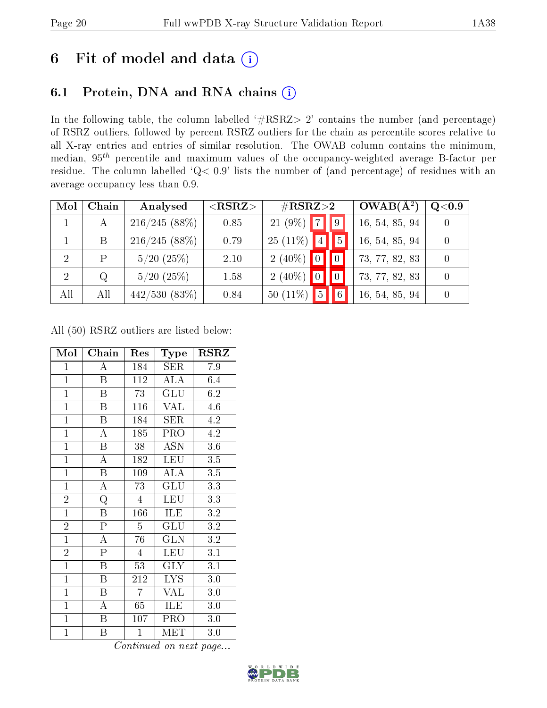# 6 Fit of model and data  $(i)$

## 6.1 Protein, DNA and RNA chains  $(i)$

In the following table, the column labelled  $#RSRZ> 2'$  contains the number (and percentage) of RSRZ outliers, followed by percent RSRZ outliers for the chain as percentile scores relative to all X-ray entries and entries of similar resolution. The OWAB column contains the minimum, median,  $95<sup>th</sup>$  percentile and maximum values of the occupancy-weighted average B-factor per residue. The column labelled ' $Q< 0.9$ ' lists the number of (and percentage) of residues with an average occupancy less than 0.9.

| Mol            | Chain | Analysed       | ${ <\hspace{-1.5pt}{\mathrm{RSRZ}} \hspace{-1.5pt}>}$ | $\#\text{RSRZ}{>}2$           |   | $OWAB(A^2)$    | Q <sub>0.9</sub> |
|----------------|-------|----------------|-------------------------------------------------------|-------------------------------|---|----------------|------------------|
|                | А     | 216/245(88%)   | 0.85                                                  | $21(9\%)$<br>$\overline{7}$   |   | 16, 54, 85, 94 |                  |
|                | В     | 216/245(88%)   | 0.79                                                  | $25(11\%)$<br> 4              | 5 | 16, 54, 85, 94 |                  |
| $\overline{2}$ |       | $5/20$ $(25%)$ | 2.10                                                  | $2(40\%)$<br>$\overline{0}$   |   | 73, 77, 82, 83 |                  |
| 2              | Q     | $5/20$ $(25%)$ | 1.58                                                  | $2(40\%)$                     |   | 73, 77, 82, 83 |                  |
| All            | All   | 442/530(83%)   | 0.84                                                  | $\overline{5}$<br>50 $(11\%)$ |   | 16, 54, 85, 94 |                  |

All (50) RSRZ outliers are listed below:

| Mol            | Chain                   | Res             | Type                      | $_{\rm RSRZ}$    |
|----------------|-------------------------|-----------------|---------------------------|------------------|
| $\mathbf{1}$   | A                       | 184             | SER                       | 7.9              |
| $\overline{1}$ | $\overline{B}$          | 112             | ALA                       | 6.4              |
| $\mathbf{1}$   | $\overline{\mathrm{B}}$ | $\overline{73}$ | GLU                       | 6.2              |
| $\mathbf{1}$   | $\boldsymbol{B}$        | 116             | <b>VAL</b>                | 4.6              |
| $\overline{1}$ | $\overline{\mathrm{B}}$ | 184             | <b>SER</b>                | 4.2              |
| $\overline{1}$ | $\bf{A}$                | 185             | PRO                       | 4.2              |
| $\overline{1}$ | $\, {\bf B}$            | 38              | <b>ASN</b>                | 3.6              |
| $\mathbf{1}$   | $\overline{\rm A}$      | 182             | LEU                       | 3.5              |
| $\mathbf{1}$   | $\boldsymbol{B}$        | 109             | <b>ALA</b>                | 3.5              |
| $\overline{1}$ | $\overline{\rm A}$      | 73              | $\overline{\mathrm{GLU}}$ | 3.3              |
| $\overline{2}$ | $\overline{\mathrm{Q}}$ | $\overline{4}$  | LEU                       | 3.3              |
| $\overline{1}$ | $\overline{\mathrm{B}}$ | 166             | ILE                       | $\rm 3.2$        |
| $\overline{2}$ | $\overline{\mathrm{P}}$ | $\overline{5}$  | <b>GLU</b>                | $\overline{3.2}$ |
| $\mathbf{1}$   | A                       | 76              | <b>GLN</b>                | 3.2              |
| $\overline{2}$ | $\overline{\mathrm{P}}$ | $\overline{4}$  | LEU                       | 3.1              |
| $\overline{1}$ | $\boldsymbol{B}$        | 53              | <b>GLY</b>                | 3.1              |
| $\overline{1}$ | $\overline{\mathrm{B}}$ | 212             | $\overline{\text{LYS}}$   | $3.0\,$          |
| $\mathbf{1}$   | B                       | $\overline{7}$  | VAL                       | $3.0\,$          |
| $\mathbf{1}$   | A                       | 65              | ILE                       | 3.0              |
| $\overline{1}$ | $\overline{\mathbf{B}}$ | 107             | PRO                       | 3.0              |
| $\mathbf{1}$   | B                       | $\overline{1}$  | MET                       | 3.0              |

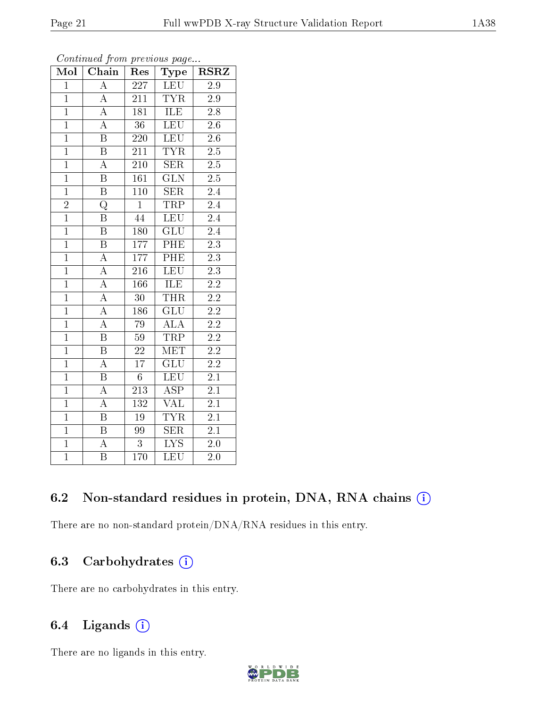| Mol            | Chain                   | Res              | Type                    | <b>RSRZ</b>      |
|----------------|-------------------------|------------------|-------------------------|------------------|
| $\overline{1}$ | $\overline{A}$          | $\overline{227}$ | <b>LEU</b>              | $\overline{2.9}$ |
| $\overline{1}$ | $\overline{A}$          | 211              | $\overline{\text{TYR}}$ | 2.9              |
| $\overline{1}$ | $\overline{A}$          | $\overline{181}$ | ILE                     | $\overline{2.8}$ |
| $\overline{1}$ | $\overline{\rm A}$      | $\overline{36}$  | $\overline{\text{LEU}}$ | $2\overline{.6}$ |
| $\overline{1}$ | $\overline{\mathrm{B}}$ | $\overline{220}$ | <b>LEU</b>              | $\overline{2.6}$ |
| $\overline{1}$ | $\overline{\mathbf{B}}$ | 211              | $T\overline{YR}$        | $\overline{2.5}$ |
| $\overline{1}$ | $\overline{\rm A}$      | $\overline{210}$ | $\overline{\text{SER}}$ | $\overline{2.5}$ |
| $\overline{1}$ | $\overline{\mathrm{B}}$ | 161              | $\overline{\text{GLN}}$ | 2.5              |
| $\overline{1}$ | $\overline{\mathrm{B}}$ | $\overline{110}$ | $\overline{\text{SER}}$ | $\overline{2.4}$ |
| $\frac{2}{1}$  | $\overline{\text{Q}}$   | $\overline{1}$   | TRP                     | $\overline{2.4}$ |
|                | $\overline{\mathrm{B}}$ | 44               | <b>LEU</b>              | $\overline{2.4}$ |
| $\overline{1}$ | $\overline{\mathrm{B}}$ | 180              | $\overline{\text{GLU}}$ | $\overline{2.4}$ |
| $\overline{1}$ | $\overline{\mathrm{B}}$ | 177              | PHE                     | $\overline{2.3}$ |
| $\overline{1}$ | $\overline{A}$          | 177              | PHE                     | $\overline{2.3}$ |
| $\overline{1}$ | $\overline{A}$          | $\overline{216}$ | $\overline{\text{LEU}}$ | $\overline{2.3}$ |
| $\overline{1}$ | $\overline{A}$          | 166              | $\overline{\text{ILE}}$ | $\overline{2.2}$ |
| $\overline{1}$ | $\overline{A}$          | $\overline{30}$  | <b>THR</b>              | $\overline{2.2}$ |
| $\overline{1}$ | $\overline{A}$          | 186              | GLU                     | $2.\overline{2}$ |
| $\overline{1}$ | $\overline{\rm A}$      | 79               | $\overline{\rm ALA}$    | $\overline{2.2}$ |
| $\overline{1}$ | $\overline{\mathbf{B}}$ | $59\,$           | <b>TRP</b>              | $\overline{2.2}$ |
| $\overline{1}$ | $\overline{\mathrm{B}}$ | $\overline{22}$  | <b>MET</b>              | $\overline{2.2}$ |
| $\overline{1}$ | $\overline{A}$          | $\overline{17}$  | $\overline{\text{GLU}}$ | $\overline{2.2}$ |
| $\overline{1}$ | $\overline{\mathrm{B}}$ | $\sqrt{6}$       | $\overline{\text{LEU}}$ | $\overline{2.1}$ |
| $\overline{1}$ | $\overline{A}$          | $\overline{213}$ | $\overline{\rm ASP}$    | $2\overline{.1}$ |
| $\overline{1}$ | $\overline{\rm A}$      | 132              | <b>VAL</b>              | $\overline{2.1}$ |
| $\overline{1}$ | $\overline{\mathrm{B}}$ | $19\,$           | <b>TYR</b>              | 2.1              |
| $\overline{1}$ | $\overline{\mathrm{B}}$ | 99               | $\overline{\text{SER}}$ | $\overline{2.1}$ |
| $\overline{1}$ | $\overline{\rm A}$      | $\overline{3}$   | $\overline{\text{LYS}}$ | 2.0              |
| $\overline{1}$ | $\overline{\mathrm{B}}$ | $\overline{170}$ | LEU                     | $\overline{2}.0$ |

## 6.2 Non-standard residues in protein, DNA, RNA chains (i)

There are no non-standard protein/DNA/RNA residues in this entry.

## 6.3 Carbohydrates  $(i)$

There are no carbohydrates in this entry.

### 6.4 Ligands  $(i)$

There are no ligands in this entry.